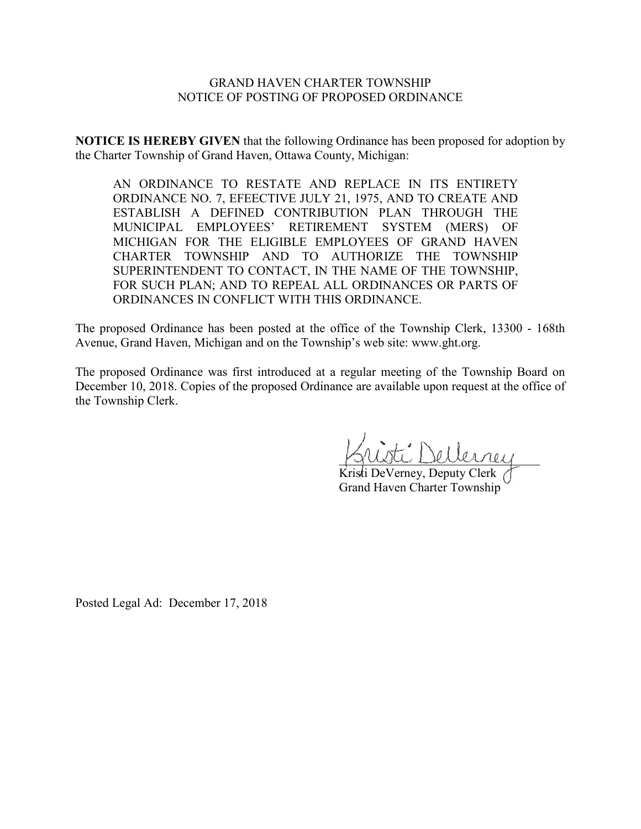## GRAND HAVEN CHARTER TOWNSHIP NOTICE OF POSTING OF PROPOSED ORDINANCE

**NOTICE IS HEREBY GIVEN** that the following Ordinance has been proposed for adoption by the Charter Township of Grand Haven, Ottawa County, Michigan:

AN ORDINANCE TO RESTATE AND REPLACE IN ITS ENTIRETY ORDINANCE NO. 7, EFEECTIVE JULY 21, 1975, AND TO CREATE AND ESTABLISH A DEFINED CONTRIBUTION PLAN THROUGH THE MUNICIPAL EMPLOYEES' RETIREMENT SYSTEM (MERS) OF RETIREMENT SYSTEM (MERS) OF MICHIGAN FOR THE ELIGIBLE EMPLOYEES OF GRAND HAVEN CHARTER TOWNSHIP AND TO AUTHORIZE THE TOWNSHIP SUPERINTENDENT TO CONTACT, IN THE NAME OF THE TOWNSHIP, FOR SUCH PLAN; AND TO REPEAL ALL ORDINANCES OR PARTS OF ORDINANCES IN CONFLICT WITH THIS ORDINANCE.

The proposed Ordinance has been posted at the office of the Township Clerk, 13300 - 168th Avenue, Grand Haven, Michigan and on the Township's web site: www.ght.org.

The proposed Ordinance was first introduced at a regular meeting of the Township Board on December 10, 2018. Copies of the proposed Ordinance are available upon request at the office of the Township Clerk.

 $\bigcap_{\varphi}\bigcup_{\varphi}\bigcup_{\varphi}\bigcap_{\varphi}\bigcap_{\varphi}\bigcap_{\varphi}\bigcap_{\varphi}\bigcap_{\varphi}\bigcap_{\varphi}\bigcap_{\varphi}\bigcap_{\varphi}\bigcap_{\varphi}\bigcap_{\varphi}\bigcap_{\varphi}\bigcap_{\varphi}\bigcap_{\varphi}\bigcap_{\varphi}\bigcap_{\varphi}\bigcap_{\varphi}\bigcap_{\varphi}\bigcap_{\varphi}\bigcap_{\varphi}\bigcap_{\varphi}\bigcap_{\varphi}\bigcap_{\varphi}\bigcap_{\varphi}\bigcap_{\varphi}\bigcap_{\varphi}\bigcap_{\varphi}\bigcap_{\varphi}\bigcap_{\varphi}\bigcap$ 

Kristi DeVerney, Deputy Clerk Grand Haven Charter Township

Posted Legal Ad: December 17, 2018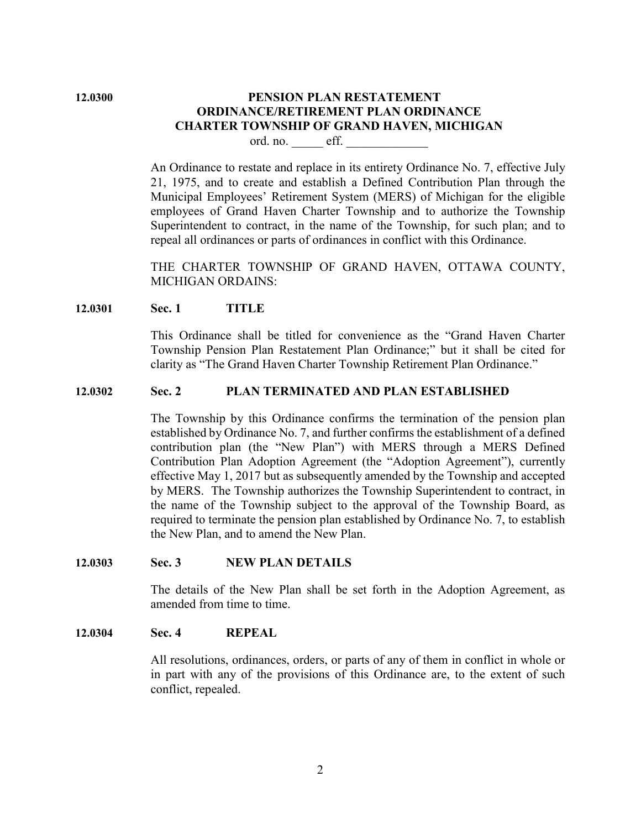# **12.0300 PENSION PLAN RESTATEMENT ORDINANCE/RETIREMENT PLAN ORDINANCE CHARTER TOWNSHIP OF GRAND HAVEN, MICHIGAN**

ord. no. eff.

An Ordinance to restate and replace in its entirety Ordinance No. 7, effective July 21, 1975, and to create and establish a Defined Contribution Plan through the Municipal Employees' Retirement System (MERS) of Michigan for the eligible employees of Grand Haven Charter Township and to authorize the Township Superintendent to contract, in the name of the Township, for such plan; and to repeal all ordinances or parts of ordinances in conflict with this Ordinance.

THE CHARTER TOWNSHIP OF GRAND HAVEN, OTTAWA COUNTY, MICHIGAN ORDAINS:

## **12.0301 Sec. 1 TITLE**

This Ordinance shall be titled for convenience as the "Grand Haven Charter Township Pension Plan Restatement Plan Ordinance;" but it shall be cited for clarity as "The Grand Haven Charter Township Retirement Plan Ordinance."

## **12.0302 Sec. 2 PLAN TERMINATED AND PLAN ESTABLISHED**

The Township by this Ordinance confirms the termination of the pension plan established by Ordinance No. 7, and further confirms the establishment of a defined contribution plan (the "New Plan") with MERS through a MERS Defined Contribution Plan Adoption Agreement (the "Adoption Agreement"), currently effective May 1, 2017 but as subsequently amended by the Township and accepted by MERS. The Township authorizes the Township Superintendent to contract, in the name of the Township subject to the approval of the Township Board, as required to terminate the pension plan established by Ordinance No. 7, to establish the New Plan, and to amend the New Plan.

#### **12.0303 Sec. 3 NEW PLAN DETAILS**

The details of the New Plan shall be set forth in the Adoption Agreement, as amended from time to time.

## **12.0304 Sec. 4 REPEAL**

All resolutions, ordinances, orders, or parts of any of them in conflict in whole or in part with any of the provisions of this Ordinance are, to the extent of such conflict, repealed.